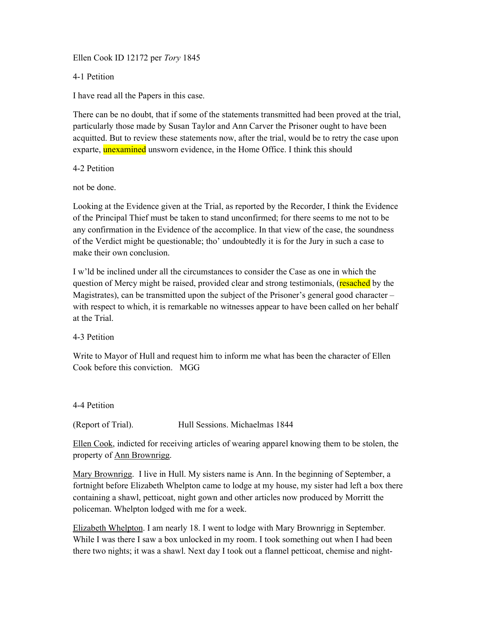Ellen Cook ID 12172 per Tory 1845

4-1 Petition

I have read all the Papers in this case.

There can be no doubt, that if some of the statements transmitted had been proved at the trial, particularly those made by Susan Taylor and Ann Carver the Prisoner ought to have been acquitted. But to review these statements now, after the trial, would be to retry the case upon exparte, unexamined unsworn evidence, in the Home Office. I think this should

4-2 Petition

not be done.

Looking at the Evidence given at the Trial, as reported by the Recorder, I think the Evidence of the Principal Thief must be taken to stand unconfirmed; for there seems to me not to be any confirmation in the Evidence of the accomplice. In that view of the case, the soundness of the Verdict might be questionable; tho' undoubtedly it is for the Jury in such a case to make their own conclusion.

I w'ld be inclined under all the circumstances to consider the Case as one in which the question of Mercy might be raised, provided clear and strong testimonials, (resached by the Magistrates), can be transmitted upon the subject of the Prisoner's general good character – with respect to which, it is remarkable no witnesses appear to have been called on her behalf at the Trial.

4-3 Petition

Write to Mayor of Hull and request him to inform me what has been the character of Ellen Cook before this conviction. MGG

4-4 Petition

(Report of Trial). Hull Sessions. Michaelmas 1844

Ellen Cook, indicted for receiving articles of wearing apparel knowing them to be stolen, the property of Ann Brownrigg.

Mary Brownrigg. I live in Hull. My sisters name is Ann. In the beginning of September, a fortnight before Elizabeth Whelpton came to lodge at my house, my sister had left a box there containing a shawl, petticoat, night gown and other articles now produced by Morritt the policeman. Whelpton lodged with me for a week.

Elizabeth Whelpton. I am nearly 18. I went to lodge with Mary Brownrigg in September. While I was there I saw a box unlocked in my room. I took something out when I had been there two nights; it was a shawl. Next day I took out a flannel petticoat, chemise and night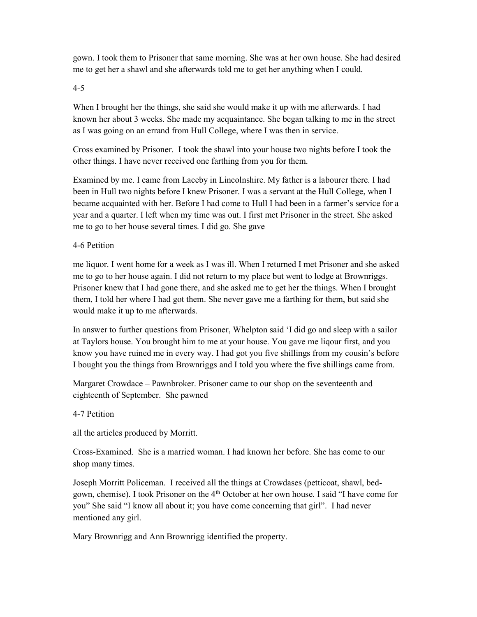gown. I took them to Prisoner that same morning. She was at her own house. She had desired me to get her a shawl and she afterwards told me to get her anything when I could.

4-5

When I brought her the things, she said she would make it up with me afterwards. I had known her about 3 weeks. She made my acquaintance. She began talking to me in the street as I was going on an errand from Hull College, where I was then in service.

Cross examined by Prisoner. I took the shawl into your house two nights before I took the other things. I have never received one farthing from you for them.

Examined by me. I came from Laceby in Lincolnshire. My father is a labourer there. I had been in Hull two nights before I knew Prisoner. I was a servant at the Hull College, when I became acquainted with her. Before I had come to Hull I had been in a farmer's service for a year and a quarter. I left when my time was out. I first met Prisoner in the street. She asked me to go to her house several times. I did go. She gave

# 4-6 Petition

me liquor. I went home for a week as I was ill. When I returned I met Prisoner and she asked me to go to her house again. I did not return to my place but went to lodge at Brownriggs. Prisoner knew that I had gone there, and she asked me to get her the things. When I brought them, I told her where I had got them. She never gave me a farthing for them, but said she would make it up to me afterwards.

In answer to further questions from Prisoner, Whelpton said 'I did go and sleep with a sailor at Taylors house. You brought him to me at your house. You gave me liqour first, and you know you have ruined me in every way. I had got you five shillings from my cousin's before I bought you the things from Brownriggs and I told you where the five shillings came from.

Margaret Crowdace – Pawnbroker. Prisoner came to our shop on the seventeenth and eighteenth of September. She pawned

4-7 Petition

all the articles produced by Morritt.

Cross-Examined. She is a married woman. I had known her before. She has come to our shop many times.

Joseph Morritt Policeman. I received all the things at Crowdases (petticoat, shawl, bedgown, chemise). I took Prisoner on the 4<sup>th</sup> October at her own house. I said "I have come for you" She said "I know all about it; you have come concerning that girl". I had never mentioned any girl.

Mary Brownrigg and Ann Brownrigg identified the property.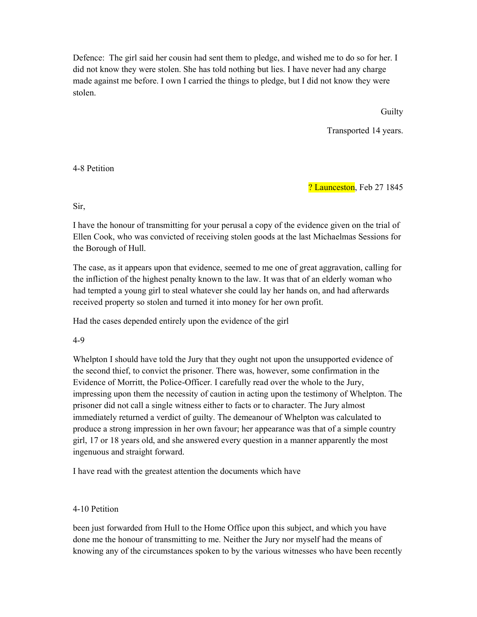Defence: The girl said her cousin had sent them to pledge, and wished me to do so for her. I did not know they were stolen. She has told nothing but lies. I have never had any charge made against me before. I own I carried the things to pledge, but I did not know they were stolen.

**Guilty** 

Transported 14 years.

4-8 Petition

? Launceston, Feb 27 1845

# Sir,

I have the honour of transmitting for your perusal a copy of the evidence given on the trial of Ellen Cook, who was convicted of receiving stolen goods at the last Michaelmas Sessions for the Borough of Hull.

The case, as it appears upon that evidence, seemed to me one of great aggravation, calling for the infliction of the highest penalty known to the law. It was that of an elderly woman who had tempted a young girl to steal whatever she could lay her hands on, and had afterwards received property so stolen and turned it into money for her own profit.

Had the cases depended entirely upon the evidence of the girl

4-9

Whelpton I should have told the Jury that they ought not upon the unsupported evidence of the second thief, to convict the prisoner. There was, however, some confirmation in the Evidence of Morritt, the Police-Officer. I carefully read over the whole to the Jury, impressing upon them the necessity of caution in acting upon the testimony of Whelpton. The prisoner did not call a single witness either to facts or to character. The Jury almost immediately returned a verdict of guilty. The demeanour of Whelpton was calculated to produce a strong impression in her own favour; her appearance was that of a simple country girl, 17 or 18 years old, and she answered every question in a manner apparently the most ingenuous and straight forward.

I have read with the greatest attention the documents which have

# 4-10 Petition

been just forwarded from Hull to the Home Office upon this subject, and which you have done me the honour of transmitting to me. Neither the Jury nor myself had the means of knowing any of the circumstances spoken to by the various witnesses who have been recently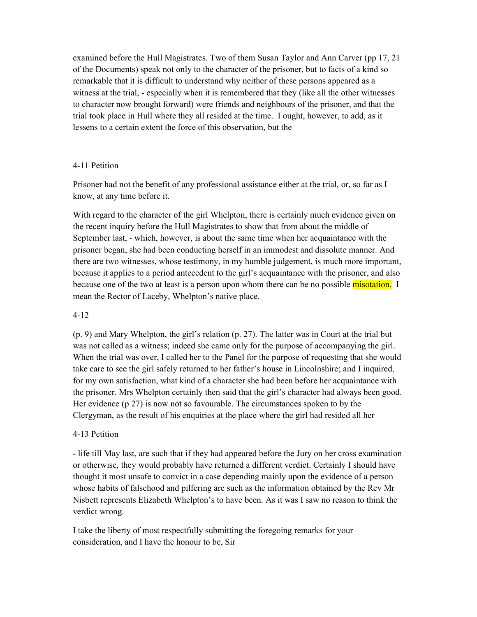examined before the Hull Magistrates. Two of them Susan Taylor and Ann Carver (pp 17, 21 of the Documents) speak not only to the character of the prisoner, but to facts of a kind so remarkable that it is difficult to understand why neither of these persons appeared as a witness at the trial, - especially when it is remembered that they (like all the other witnesses to character now brought forward) were friends and neighbours of the prisoner, and that the trial took place in Hull where they all resided at the time. I ought, however, to add, as it lessens to a certain extent the force of this observation, but the

## 4-11 Petition

Prisoner had not the benefit of any professional assistance either at the trial, or, so far as I know, at any time before it.

With regard to the character of the girl Whelpton, there is certainly much evidence given on the recent inquiry before the Hull Magistrates to show that from about the middle of September last, - which, however, is about the same time when her acquaintance with the prisoner began, she had been conducting herself in an immodest and dissolute manner. And there are two witnesses, whose testimony, in my humble judgement, is much more important, because it applies to a period antecedent to the girl's acquaintance with the prisoner, and also because one of the two at least is a person upon whom there can be no possible misotation. I mean the Rector of Laceby, Whelpton's native place.

# 4-12

(p. 9) and Mary Whelpton, the girl's relation (p. 27). The latter was in Court at the trial but was not called as a witness; indeed she came only for the purpose of accompanying the girl. When the trial was over, I called her to the Panel for the purpose of requesting that she would take care to see the girl safely returned to her father's house in Lincolnshire; and I inquired, for my own satisfaction, what kind of a character she had been before her acquaintance with the prisoner. Mrs Whelpton certainly then said that the girl's character had always been good. Her evidence (p 27) is now not so favourable. The circumstances spoken to by the Clergyman, as the result of his enquiries at the place where the girl had resided all her

# 4-13 Petition

- life till May last, are such that if they had appeared before the Jury on her cross examination or otherwise, they would probably have returned a different verdict. Certainly I should have thought it most unsafe to convict in a case depending mainly upon the evidence of a person whose habits of falsehood and pilfering are such as the information obtained by the Rev Mr Nisbett represents Elizabeth Whelpton's to have been. As it was I saw no reason to think the verdict wrong.

I take the liberty of most respectfully submitting the foregoing remarks for your consideration, and I have the honour to be, Sir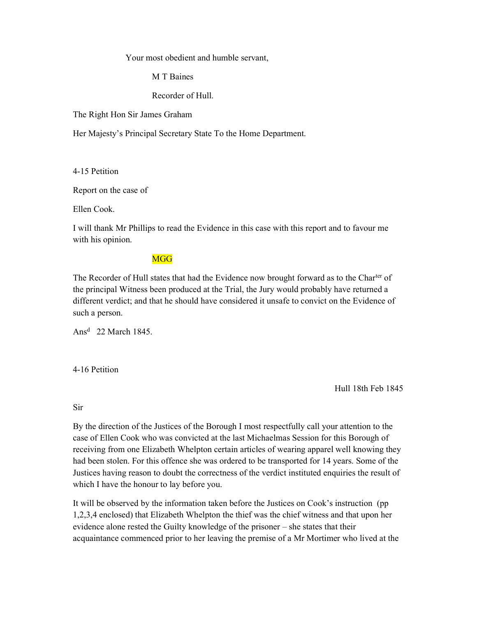Your most obedient and humble servant,

M T Baines

Recorder of Hull.

The Right Hon Sir James Graham

Her Majesty's Principal Secretary State To the Home Department.

4-15 Petition

Report on the case of

Ellen Cook.

I will thank Mr Phillips to read the Evidence in this case with this report and to favour me with his opinion.

# **MGG**

The Recorder of Hull states that had the Evidence now brought forward as to the Charter of the principal Witness been produced at the Trial, the Jury would probably have returned a different verdict; and that he should have considered it unsafe to convict on the Evidence of such a person.

Ans<sup>d</sup> 22 March 1845.

4-16 Petition

Hull 18th Feb 1845

Sir

By the direction of the Justices of the Borough I most respectfully call your attention to the case of Ellen Cook who was convicted at the last Michaelmas Session for this Borough of receiving from one Elizabeth Whelpton certain articles of wearing apparel well knowing they had been stolen. For this offence she was ordered to be transported for 14 years. Some of the Justices having reason to doubt the correctness of the verdict instituted enquiries the result of which I have the honour to lay before you.

It will be observed by the information taken before the Justices on Cook's instruction (pp 1,2,3,4 enclosed) that Elizabeth Whelpton the thief was the chief witness and that upon her evidence alone rested the Guilty knowledge of the prisoner – she states that their acquaintance commenced prior to her leaving the premise of a Mr Mortimer who lived at the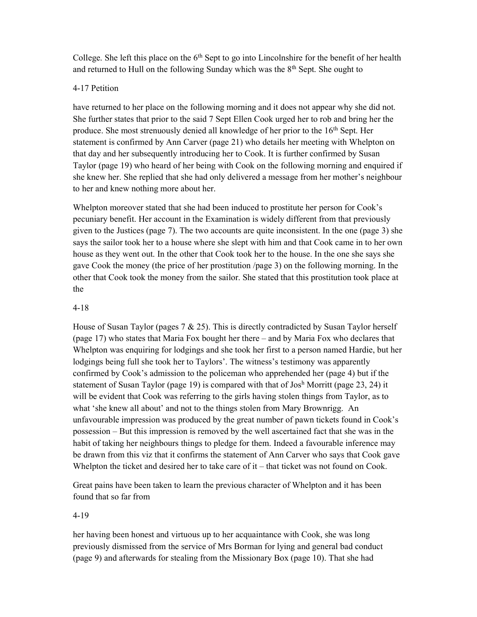College. She left this place on the  $6<sup>th</sup>$  Sept to go into Lincolnshire for the benefit of her health and returned to Hull on the following Sunday which was the  $8<sup>th</sup>$  Sept. She ought to

## 4-17 Petition

have returned to her place on the following morning and it does not appear why she did not. She further states that prior to the said 7 Sept Ellen Cook urged her to rob and bring her the produce. She most strenuously denied all knowledge of her prior to the 16th Sept. Her statement is confirmed by Ann Carver (page 21) who details her meeting with Whelpton on that day and her subsequently introducing her to Cook. It is further confirmed by Susan Taylor (page 19) who heard of her being with Cook on the following morning and enquired if she knew her. She replied that she had only delivered a message from her mother's neighbour to her and knew nothing more about her.

Whelpton moreover stated that she had been induced to prostitute her person for Cook's pecuniary benefit. Her account in the Examination is widely different from that previously given to the Justices (page 7). The two accounts are quite inconsistent. In the one (page 3) she says the sailor took her to a house where she slept with him and that Cook came in to her own house as they went out. In the other that Cook took her to the house. In the one she says she gave Cook the money (the price of her prostitution /page 3) on the following morning. In the other that Cook took the money from the sailor. She stated that this prostitution took place at the

## 4-18

House of Susan Taylor (pages  $7 & 25$ ). This is directly contradicted by Susan Taylor herself (page 17) who states that Maria Fox bought her there – and by Maria Fox who declares that Whelpton was enquiring for lodgings and she took her first to a person named Hardie, but her lodgings being full she took her to Taylors'. The witness's testimony was apparently confirmed by Cook's admission to the policeman who apprehended her (page 4) but if the statement of Susan Taylor (page 19) is compared with that of Josh Morritt (page 23, 24) it will be evident that Cook was referring to the girls having stolen things from Taylor, as to what 'she knew all about' and not to the things stolen from Mary Brownrigg. An unfavourable impression was produced by the great number of pawn tickets found in Cook's possession – But this impression is removed by the well ascertained fact that she was in the habit of taking her neighbours things to pledge for them. Indeed a favourable inference may be drawn from this viz that it confirms the statement of Ann Carver who says that Cook gave Whelpton the ticket and desired her to take care of it – that ticket was not found on Cook.

Great pains have been taken to learn the previous character of Whelpton and it has been found that so far from

# 4-19

her having been honest and virtuous up to her acquaintance with Cook, she was long previously dismissed from the service of Mrs Borman for lying and general bad conduct (page 9) and afterwards for stealing from the Missionary Box (page 10). That she had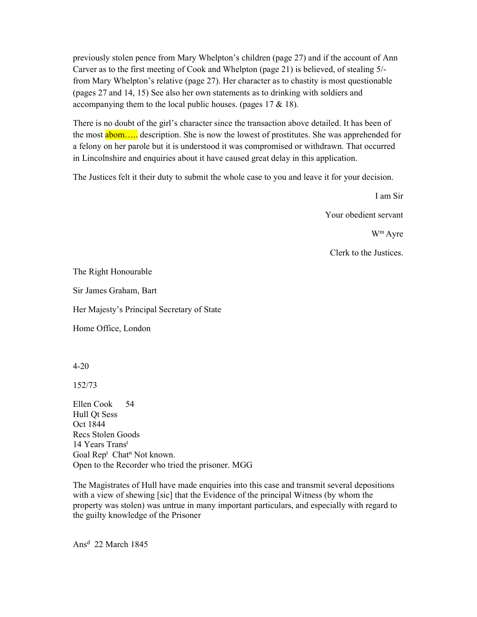previously stolen pence from Mary Whelpton's children (page 27) and if the account of Ann Carver as to the first meeting of Cook and Whelpton (page 21) is believed, of stealing 5/ from Mary Whelpton's relative (page 27). Her character as to chastity is most questionable (pages 27 and 14, 15) See also her own statements as to drinking with soldiers and accompanying them to the local public houses. (pages  $17 \& 18$ ).

There is no doubt of the girl's character since the transaction above detailed. It has been of the most **abom....** description. She is now the lowest of prostitutes. She was apprehended for a felony on her parole but it is understood it was compromised or withdrawn. That occurred in Lincolnshire and enquiries about it have caused great delay in this application.

The Justices felt it their duty to submit the whole case to you and leave it for your decision.

I am Sir

Your obedient servant

W<sup>m</sup>Ayre

Clerk to the Justices.

The Right Honourable

Sir James Graham, Bart

Her Majesty's Principal Secretary of State

Home Office, London

4-20

152/73

Ellen Cook 54 Hull Qt Sess Oct 1844 Recs Stolen Goods 14 Years Trans<sup>t</sup> Goal Rep<sup>t</sup> Chat<sup>n</sup> Not known. Open to the Recorder who tried the prisoner. MGG

The Magistrates of Hull have made enquiries into this case and transmit several depositions with a view of shewing [sic] that the Evidence of the principal Witness (by whom the property was stolen) was untrue in many important particulars, and especially with regard to the guilty knowledge of the Prisoner

Ans<sup>d</sup> 22 March 1845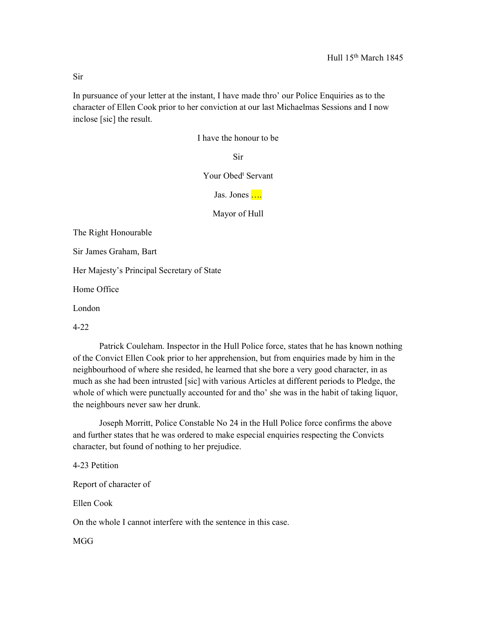In pursuance of your letter at the instant, I have made thro' our Police Enquiries as to the character of Ellen Cook prior to her conviction at our last Michaelmas Sessions and I now inclose [sic] the result.

I have the honour to be

Sir

Your Obed<sup>t</sup> Servant

Jas. Jones ....

Mayor of Hull

The Right Honourable

Sir James Graham, Bart

Her Majesty's Principal Secretary of State

Home Office

London

4-22

 Patrick Couleham. Inspector in the Hull Police force, states that he has known nothing of the Convict Ellen Cook prior to her apprehension, but from enquiries made by him in the neighbourhood of where she resided, he learned that she bore a very good character, in as much as she had been intrusted [sic] with various Articles at different periods to Pledge, the whole of which were punctually accounted for and tho' she was in the habit of taking liquor, the neighbours never saw her drunk.

 Joseph Morritt, Police Constable No 24 in the Hull Police force confirms the above and further states that he was ordered to make especial enquiries respecting the Convicts character, but found of nothing to her prejudice.

4-23 Petition

Report of character of

Ellen Cook

On the whole I cannot interfere with the sentence in this case.

MGG

Sir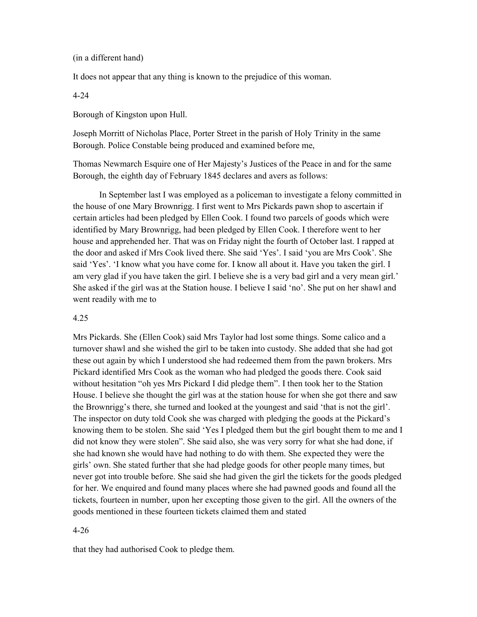(in a different hand)

It does not appear that any thing is known to the prejudice of this woman.

4-24

Borough of Kingston upon Hull.

Joseph Morritt of Nicholas Place, Porter Street in the parish of Holy Trinity in the same Borough. Police Constable being produced and examined before me,

Thomas Newmarch Esquire one of Her Majesty's Justices of the Peace in and for the same Borough, the eighth day of February 1845 declares and avers as follows:

 In September last I was employed as a policeman to investigate a felony committed in the house of one Mary Brownrigg. I first went to Mrs Pickards pawn shop to ascertain if certain articles had been pledged by Ellen Cook. I found two parcels of goods which were identified by Mary Brownrigg, had been pledged by Ellen Cook. I therefore went to her house and apprehended her. That was on Friday night the fourth of October last. I rapped at the door and asked if Mrs Cook lived there. She said 'Yes'. I said 'you are Mrs Cook'. She said 'Yes'. 'I know what you have come for. I know all about it. Have you taken the girl. I am very glad if you have taken the girl. I believe she is a very bad girl and a very mean girl.' She asked if the girl was at the Station house. I believe I said 'no'. She put on her shawl and went readily with me to

### 4.25

Mrs Pickards. She (Ellen Cook) said Mrs Taylor had lost some things. Some calico and a turnover shawl and she wished the girl to be taken into custody. She added that she had got these out again by which I understood she had redeemed them from the pawn brokers. Mrs Pickard identified Mrs Cook as the woman who had pledged the goods there. Cook said without hesitation "oh yes Mrs Pickard I did pledge them". I then took her to the Station House. I believe she thought the girl was at the station house for when she got there and saw the Brownrigg's there, she turned and looked at the youngest and said 'that is not the girl'. The inspector on duty told Cook she was charged with pledging the goods at the Pickard's knowing them to be stolen. She said 'Yes I pledged them but the girl bought them to me and I did not know they were stolen". She said also, she was very sorry for what she had done, if she had known she would have had nothing to do with them. She expected they were the girls' own. She stated further that she had pledge goods for other people many times, but never got into trouble before. She said she had given the girl the tickets for the goods pledged for her. We enquired and found many places where she had pawned goods and found all the tickets, fourteen in number, upon her excepting those given to the girl. All the owners of the goods mentioned in these fourteen tickets claimed them and stated

### 4-26

that they had authorised Cook to pledge them.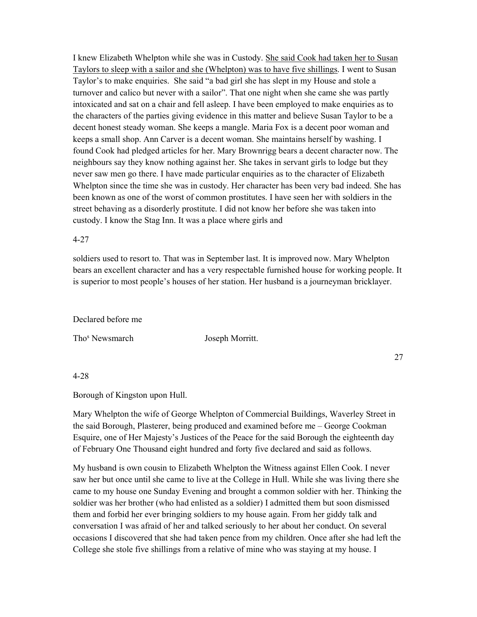I knew Elizabeth Whelpton while she was in Custody. She said Cook had taken her to Susan Taylors to sleep with a sailor and she (Whelpton) was to have five shillings. I went to Susan Taylor's to make enquiries. She said "a bad girl she has slept in my House and stole a turnover and calico but never with a sailor". That one night when she came she was partly intoxicated and sat on a chair and fell asleep. I have been employed to make enquiries as to the characters of the parties giving evidence in this matter and believe Susan Taylor to be a decent honest steady woman. She keeps a mangle. Maria Fox is a decent poor woman and keeps a small shop. Ann Carver is a decent woman. She maintains herself by washing. I found Cook had pledged articles for her. Mary Brownrigg bears a decent character now. The neighbours say they know nothing against her. She takes in servant girls to lodge but they never saw men go there. I have made particular enquiries as to the character of Elizabeth Whelpton since the time she was in custody. Her character has been very bad indeed. She has been known as one of the worst of common prostitutes. I have seen her with soldiers in the street behaving as a disorderly prostitute. I did not know her before she was taken into custody. I know the Stag Inn. It was a place where girls and

### 4-27

soldiers used to resort to. That was in September last. It is improved now. Mary Whelpton bears an excellent character and has a very respectable furnished house for working people. It is superior to most people's houses of her station. Her husband is a journeyman bricklayer.

### Declared before me

Tho<sup>s</sup> Newsmarch

Joseph Morritt.

27

### 4-28

Borough of Kingston upon Hull.

Mary Whelpton the wife of George Whelpton of Commercial Buildings, Waverley Street in the said Borough, Plasterer, being produced and examined before me – George Cookman Esquire, one of Her Majesty's Justices of the Peace for the said Borough the eighteenth day of February One Thousand eight hundred and forty five declared and said as follows.

My husband is own cousin to Elizabeth Whelpton the Witness against Ellen Cook. I never saw her but once until she came to live at the College in Hull. While she was living there she came to my house one Sunday Evening and brought a common soldier with her. Thinking the soldier was her brother (who had enlisted as a soldier) I admitted them but soon dismissed them and forbid her ever bringing soldiers to my house again. From her giddy talk and conversation I was afraid of her and talked seriously to her about her conduct. On several occasions I discovered that she had taken pence from my children. Once after she had left the College she stole five shillings from a relative of mine who was staying at my house. I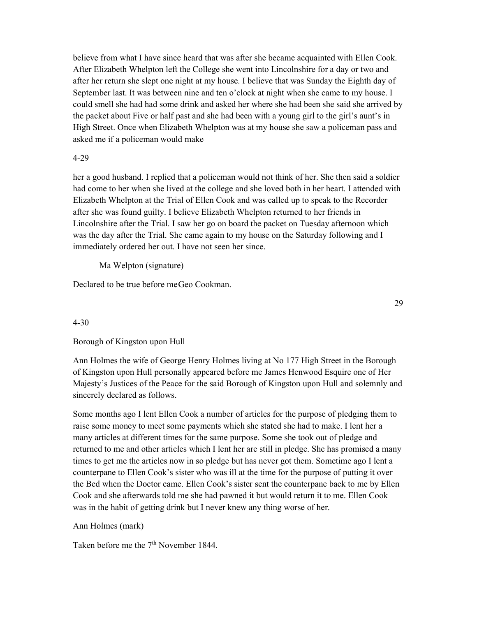believe from what I have since heard that was after she became acquainted with Ellen Cook. After Elizabeth Whelpton left the College she went into Lincolnshire for a day or two and after her return she slept one night at my house. I believe that was Sunday the Eighth day of September last. It was between nine and ten o'clock at night when she came to my house. I could smell she had had some drink and asked her where she had been she said she arrived by the packet about Five or half past and she had been with a young girl to the girl's aunt's in High Street. Once when Elizabeth Whelpton was at my house she saw a policeman pass and asked me if a policeman would make

## 4-29

her a good husband. I replied that a policeman would not think of her. She then said a soldier had come to her when she lived at the college and she loved both in her heart. I attended with Elizabeth Whelpton at the Trial of Ellen Cook and was called up to speak to the Recorder after she was found guilty. I believe Elizabeth Whelpton returned to her friends in Lincolnshire after the Trial. I saw her go on board the packet on Tuesday afternoon which was the day after the Trial. She came again to my house on the Saturday following and I immediately ordered her out. I have not seen her since.

Ma Welpton (signature)

Declared to be true before me Geo Cookman.

29

## 4-30

# Borough of Kingston upon Hull

Ann Holmes the wife of George Henry Holmes living at No 177 High Street in the Borough of Kingston upon Hull personally appeared before me James Henwood Esquire one of Her Majesty's Justices of the Peace for the said Borough of Kingston upon Hull and solemnly and sincerely declared as follows.

Some months ago I lent Ellen Cook a number of articles for the purpose of pledging them to raise some money to meet some payments which she stated she had to make. I lent her a many articles at different times for the same purpose. Some she took out of pledge and returned to me and other articles which I lent her are still in pledge. She has promised a many times to get me the articles now in so pledge but has never got them. Sometime ago I lent a counterpane to Ellen Cook's sister who was ill at the time for the purpose of putting it over the Bed when the Doctor came. Ellen Cook's sister sent the counterpane back to me by Ellen Cook and she afterwards told me she had pawned it but would return it to me. Ellen Cook was in the habit of getting drink but I never knew any thing worse of her.

## Ann Holmes (mark)

Taken before me the 7<sup>th</sup> November 1844.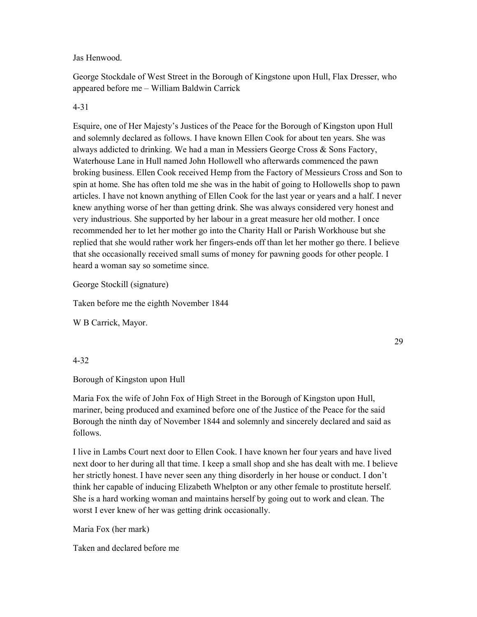Jas Henwood.

George Stockdale of West Street in the Borough of Kingstone upon Hull, Flax Dresser, who appeared before me – William Baldwin Carrick

# 4-31

Esquire, one of Her Majesty's Justices of the Peace for the Borough of Kingston upon Hull and solemnly declared as follows. I have known Ellen Cook for about ten years. She was always addicted to drinking. We had a man in Messiers George Cross & Sons Factory, Waterhouse Lane in Hull named John Hollowell who afterwards commenced the pawn broking business. Ellen Cook received Hemp from the Factory of Messieurs Cross and Son to spin at home. She has often told me she was in the habit of going to Hollowells shop to pawn articles. I have not known anything of Ellen Cook for the last year or years and a half. I never knew anything worse of her than getting drink. She was always considered very honest and very industrious. She supported by her labour in a great measure her old mother. I once recommended her to let her mother go into the Charity Hall or Parish Workhouse but she replied that she would rather work her fingers-ends off than let her mother go there. I believe that she occasionally received small sums of money for pawning goods for other people. I heard a woman say so sometime since.

George Stockill (signature)

Taken before me the eighth November 1844

W B Carrick, Mayor.

29

# 4-32

Borough of Kingston upon Hull

Maria Fox the wife of John Fox of High Street in the Borough of Kingston upon Hull, mariner, being produced and examined before one of the Justice of the Peace for the said Borough the ninth day of November 1844 and solemnly and sincerely declared and said as follows.

I live in Lambs Court next door to Ellen Cook. I have known her four years and have lived next door to her during all that time. I keep a small shop and she has dealt with me. I believe her strictly honest. I have never seen any thing disorderly in her house or conduct. I don't think her capable of inducing Elizabeth Whelpton or any other female to prostitute herself. She is a hard working woman and maintains herself by going out to work and clean. The worst I ever knew of her was getting drink occasionally.

Maria Fox (her mark)

Taken and declared before me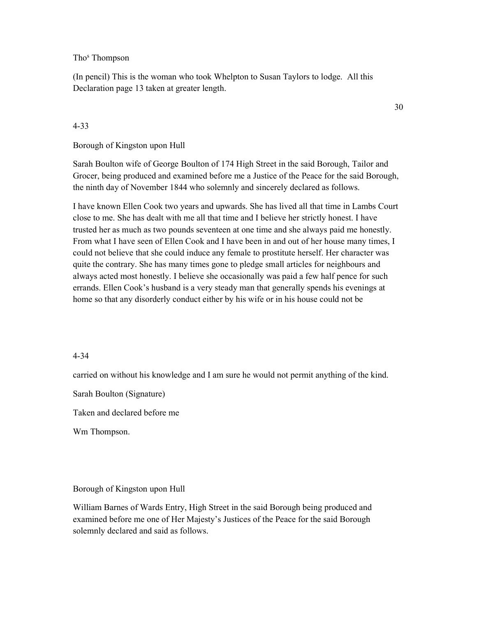Tho<sup>s</sup> Thompson

(In pencil) This is the woman who took Whelpton to Susan Taylors to lodge. All this Declaration page 13 taken at greater length.

### 4-33

### Borough of Kingston upon Hull

Sarah Boulton wife of George Boulton of 174 High Street in the said Borough, Tailor and Grocer, being produced and examined before me a Justice of the Peace for the said Borough, the ninth day of November 1844 who solemnly and sincerely declared as follows.

I have known Ellen Cook two years and upwards. She has lived all that time in Lambs Court close to me. She has dealt with me all that time and I believe her strictly honest. I have trusted her as much as two pounds seventeen at one time and she always paid me honestly. From what I have seen of Ellen Cook and I have been in and out of her house many times, I could not believe that she could induce any female to prostitute herself. Her character was quite the contrary. She has many times gone to pledge small articles for neighbours and always acted most honestly. I believe she occasionally was paid a few half pence for such errands. Ellen Cook's husband is a very steady man that generally spends his evenings at home so that any disorderly conduct either by his wife or in his house could not be

### 4-34

carried on without his knowledge and I am sure he would not permit anything of the kind.

Sarah Boulton (Signature)

Taken and declared before me

Wm Thompson.

## Borough of Kingston upon Hull

William Barnes of Wards Entry, High Street in the said Borough being produced and examined before me one of Her Majesty's Justices of the Peace for the said Borough solemnly declared and said as follows.

30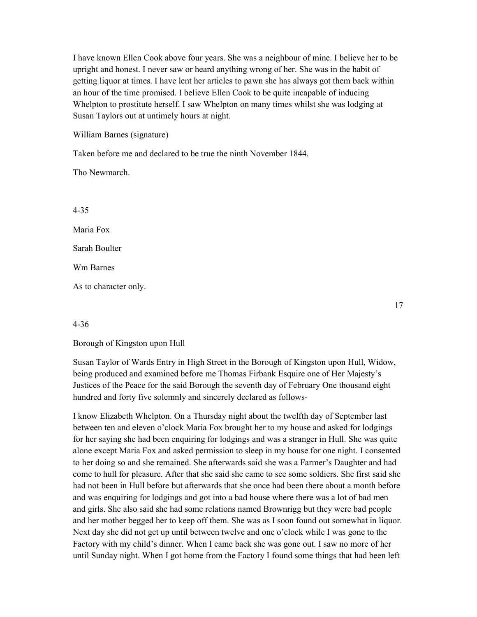I have known Ellen Cook above four years. She was a neighbour of mine. I believe her to be upright and honest. I never saw or heard anything wrong of her. She was in the habit of getting liquor at times. I have lent her articles to pawn she has always got them back within an hour of the time promised. I believe Ellen Cook to be quite incapable of inducing Whelpton to prostitute herself. I saw Whelpton on many times whilst she was lodging at Susan Taylors out at untimely hours at night.

William Barnes (signature)

Taken before me and declared to be true the ninth November 1844.

Tho Newmarch.

4-35

Maria Fox

Sarah Boulter

Wm Barnes

As to character only.

17

## 4-36

Borough of Kingston upon Hull

Susan Taylor of Wards Entry in High Street in the Borough of Kingston upon Hull, Widow, being produced and examined before me Thomas Firbank Esquire one of Her Majesty's Justices of the Peace for the said Borough the seventh day of February One thousand eight hundred and forty five solemnly and sincerely declared as follows-

I know Elizabeth Whelpton. On a Thursday night about the twelfth day of September last between ten and eleven o'clock Maria Fox brought her to my house and asked for lodgings for her saying she had been enquiring for lodgings and was a stranger in Hull. She was quite alone except Maria Fox and asked permission to sleep in my house for one night. I consented to her doing so and she remained. She afterwards said she was a Farmer's Daughter and had come to hull for pleasure. After that she said she came to see some soldiers. She first said she had not been in Hull before but afterwards that she once had been there about a month before and was enquiring for lodgings and got into a bad house where there was a lot of bad men and girls. She also said she had some relations named Brownrigg but they were bad people and her mother begged her to keep off them. She was as I soon found out somewhat in liquor. Next day she did not get up until between twelve and one o'clock while I was gone to the Factory with my child's dinner. When I came back she was gone out. I saw no more of her until Sunday night. When I got home from the Factory I found some things that had been left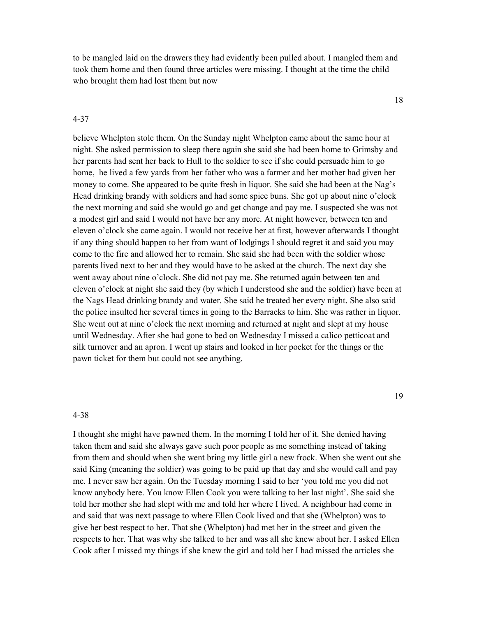to be mangled laid on the drawers they had evidently been pulled about. I mangled them and took them home and then found three articles were missing. I thought at the time the child who brought them had lost them but now

18

believe Whelpton stole them. On the Sunday night Whelpton came about the same hour at night. She asked permission to sleep there again she said she had been home to Grimsby and her parents had sent her back to Hull to the soldier to see if she could persuade him to go home, he lived a few yards from her father who was a farmer and her mother had given her money to come. She appeared to be quite fresh in liquor. She said she had been at the Nag's Head drinking brandy with soldiers and had some spice buns. She got up about nine o'clock the next morning and said she would go and get change and pay me. I suspected she was not a modest girl and said I would not have her any more. At night however, between ten and eleven o'clock she came again. I would not receive her at first, however afterwards I thought if any thing should happen to her from want of lodgings I should regret it and said you may come to the fire and allowed her to remain. She said she had been with the soldier whose parents lived next to her and they would have to be asked at the church. The next day she went away about nine o'clock. She did not pay me. She returned again between ten and eleven o'clock at night she said they (by which I understood she and the soldier) have been at the Nags Head drinking brandy and water. She said he treated her every night. She also said the police insulted her several times in going to the Barracks to him. She was rather in liquor. She went out at nine o'clock the next morning and returned at night and slept at my house until Wednesday. After she had gone to bed on Wednesday I missed a calico petticoat and silk turnover and an apron. I went up stairs and looked in her pocket for the things or the pawn ticket for them but could not see anything.

### 4-38

4-37

I thought she might have pawned them. In the morning I told her of it. She denied having taken them and said she always gave such poor people as me something instead of taking from them and should when she went bring my little girl a new frock. When she went out she said King (meaning the soldier) was going to be paid up that day and she would call and pay me. I never saw her again. On the Tuesday morning I said to her 'you told me you did not know anybody here. You know Ellen Cook you were talking to her last night'. She said she told her mother she had slept with me and told her where I lived. A neighbour had come in and said that was next passage to where Ellen Cook lived and that she (Whelpton) was to give her best respect to her. That she (Whelpton) had met her in the street and given the respects to her. That was why she talked to her and was all she knew about her. I asked Ellen Cook after I missed my things if she knew the girl and told her I had missed the articles she

### 19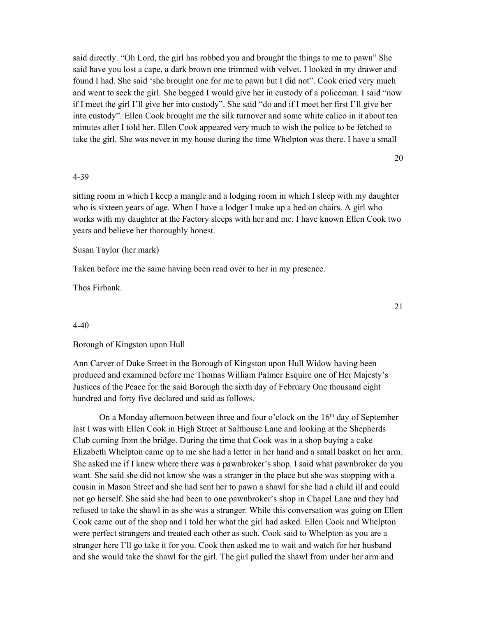said directly. "Oh Lord, the girl has robbed you and brought the things to me to pawn" She said have you lost a cape, a dark brown one trimmed with velvet. I looked in my drawer and found I had. She said 'she brought one for me to pawn but I did not". Cook cried very much and went to seek the girl. She begged I would give her in custody of a policeman. I said "now if I meet the girl I'll give her into custody". She said "do and if I meet her first I'll give her into custody". Ellen Cook brought me the silk turnover and some white calico in it about ten minutes after I told her. Ellen Cook appeared very much to wish the police to be fetched to take the girl. She was never in my house during the time Whelpton was there. I have a small

20

### 4-39

sitting room in which I keep a mangle and a lodging room in which I sleep with my daughter who is sixteen years of age. When I have a lodger I make up a bed on chairs. A girl who works with my daughter at the Factory sleeps with her and me. I have known Ellen Cook two years and believe her thoroughly honest.

Susan Taylor (her mark)

Taken before me the same having been read over to her in my presence.

Thos Firbank.

4-40

Borough of Kingston upon Hull

Ann Carver of Duke Street in the Borough of Kingston upon Hull Widow having been produced and examined before me Thomas William Palmer Esquire one of Her Majesty's Justices of the Peace for the said Borough the sixth day of February One thousand eight hundred and forty five declared and said as follows.

On a Monday afternoon between three and four o'clock on the  $16<sup>th</sup>$  day of September last I was with Ellen Cook in High Street at Salthouse Lane and looking at the Shepherds Club coming from the bridge. During the time that Cook was in a shop buying a cake Elizabeth Whelpton came up to me she had a letter in her hand and a small basket on her arm. She asked me if I knew where there was a pawnbroker's shop. I said what pawnbroker do you want. She said she did not know she was a stranger in the place but she was stopping with a cousin in Mason Street and she had sent her to pawn a shawl for she had a child ill and could not go herself. She said she had been to one pawnbroker's shop in Chapel Lane and they had refused to take the shawl in as she was a stranger. While this conversation was going on Ellen Cook came out of the shop and I told her what the girl had asked. Ellen Cook and Whelpton were perfect strangers and treated each other as such. Cook said to Whelpton as you are a stranger here I'll go take it for you. Cook then asked me to wait and watch for her husband and she would take the shawl for the girl. The girl pulled the shawl from under her arm and

21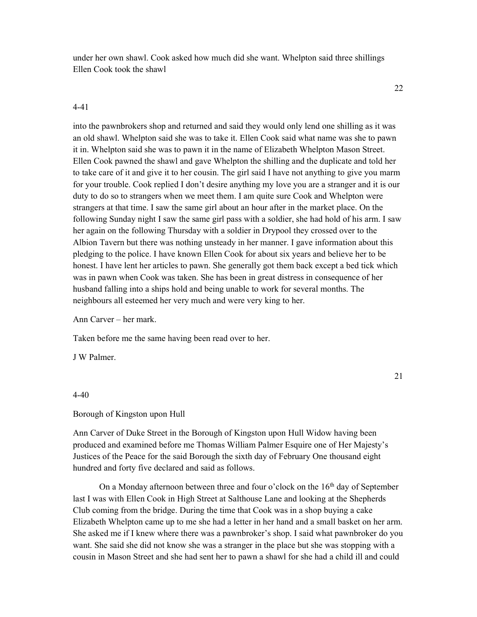under her own shawl. Cook asked how much did she want. Whelpton said three shillings Ellen Cook took the shawl

### 4-41

into the pawnbrokers shop and returned and said they would only lend one shilling as it was an old shawl. Whelpton said she was to take it. Ellen Cook said what name was she to pawn it in. Whelpton said she was to pawn it in the name of Elizabeth Whelpton Mason Street. Ellen Cook pawned the shawl and gave Whelpton the shilling and the duplicate and told her to take care of it and give it to her cousin. The girl said I have not anything to give you marm for your trouble. Cook replied I don't desire anything my love you are a stranger and it is our duty to do so to strangers when we meet them. I am quite sure Cook and Whelpton were strangers at that time. I saw the same girl about an hour after in the market place. On the following Sunday night I saw the same girl pass with a soldier, she had hold of his arm. I saw her again on the following Thursday with a soldier in Drypool they crossed over to the Albion Tavern but there was nothing unsteady in her manner. I gave information about this pledging to the police. I have known Ellen Cook for about six years and believe her to be honest. I have lent her articles to pawn. She generally got them back except a bed tick which was in pawn when Cook was taken. She has been in great distress in consequence of her husband falling into a ships hold and being unable to work for several months. The neighbours all esteemed her very much and were very king to her.

Ann Carver – her mark.

Taken before me the same having been read over to her.

J W Palmer.

### 21

### 4-40

### Borough of Kingston upon Hull

Ann Carver of Duke Street in the Borough of Kingston upon Hull Widow having been produced and examined before me Thomas William Palmer Esquire one of Her Majesty's Justices of the Peace for the said Borough the sixth day of February One thousand eight hundred and forty five declared and said as follows.

On a Monday afternoon between three and four o'clock on the  $16<sup>th</sup>$  day of September last I was with Ellen Cook in High Street at Salthouse Lane and looking at the Shepherds Club coming from the bridge. During the time that Cook was in a shop buying a cake Elizabeth Whelpton came up to me she had a letter in her hand and a small basket on her arm. She asked me if I knew where there was a pawnbroker's shop. I said what pawnbroker do you want. She said she did not know she was a stranger in the place but she was stopping with a cousin in Mason Street and she had sent her to pawn a shawl for she had a child ill and could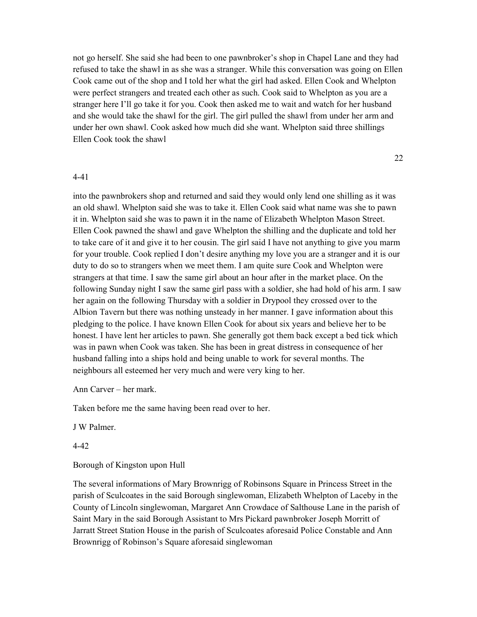not go herself. She said she had been to one pawnbroker's shop in Chapel Lane and they had refused to take the shawl in as she was a stranger. While this conversation was going on Ellen Cook came out of the shop and I told her what the girl had asked. Ellen Cook and Whelpton were perfect strangers and treated each other as such. Cook said to Whelpton as you are a stranger here I'll go take it for you. Cook then asked me to wait and watch for her husband and she would take the shawl for the girl. The girl pulled the shawl from under her arm and under her own shawl. Cook asked how much did she want. Whelpton said three shillings Ellen Cook took the shawl

22

### 4-41

into the pawnbrokers shop and returned and said they would only lend one shilling as it was an old shawl. Whelpton said she was to take it. Ellen Cook said what name was she to pawn it in. Whelpton said she was to pawn it in the name of Elizabeth Whelpton Mason Street. Ellen Cook pawned the shawl and gave Whelpton the shilling and the duplicate and told her to take care of it and give it to her cousin. The girl said I have not anything to give you marm for your trouble. Cook replied I don't desire anything my love you are a stranger and it is our duty to do so to strangers when we meet them. I am quite sure Cook and Whelpton were strangers at that time. I saw the same girl about an hour after in the market place. On the following Sunday night I saw the same girl pass with a soldier, she had hold of his arm. I saw her again on the following Thursday with a soldier in Drypool they crossed over to the Albion Tavern but there was nothing unsteady in her manner. I gave information about this pledging to the police. I have known Ellen Cook for about six years and believe her to be honest. I have lent her articles to pawn. She generally got them back except a bed tick which was in pawn when Cook was taken. She has been in great distress in consequence of her husband falling into a ships hold and being unable to work for several months. The neighbours all esteemed her very much and were very king to her.

Ann Carver – her mark.

Taken before me the same having been read over to her.

J W Palmer.

4-42

Borough of Kingston upon Hull

The several informations of Mary Brownrigg of Robinsons Square in Princess Street in the parish of Sculcoates in the said Borough singlewoman, Elizabeth Whelpton of Laceby in the County of Lincoln singlewoman, Margaret Ann Crowdace of Salthouse Lane in the parish of Saint Mary in the said Borough Assistant to Mrs Pickard pawnbroker Joseph Morritt of Jarratt Street Station House in the parish of Sculcoates aforesaid Police Constable and Ann Brownrigg of Robinson's Square aforesaid singlewoman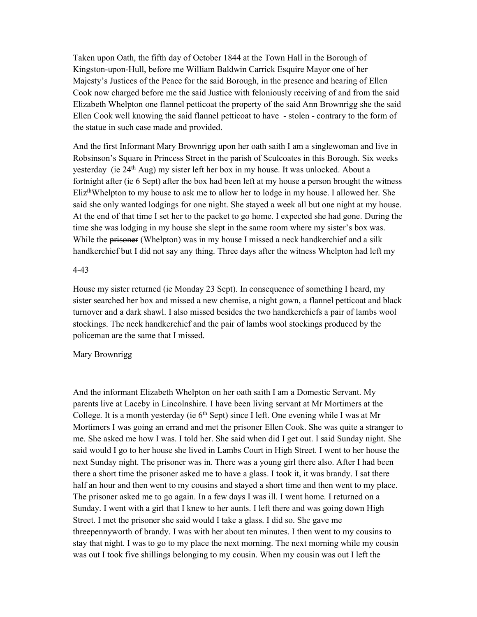Taken upon Oath, the fifth day of October 1844 at the Town Hall in the Borough of Kingston-upon-Hull, before me William Baldwin Carrick Esquire Mayor one of her Majesty's Justices of the Peace for the said Borough, in the presence and hearing of Ellen Cook now charged before me the said Justice with feloniously receiving of and from the said Elizabeth Whelpton one flannel petticoat the property of the said Ann Brownrigg she the said Ellen Cook well knowing the said flannel petticoat to have - stolen - contrary to the form of the statue in such case made and provided.

And the first Informant Mary Brownrigg upon her oath saith I am a singlewoman and live in Robsinson's Square in Princess Street in the parish of Sculcoates in this Borough. Six weeks yesterday (ie 24th Aug) my sister left her box in my house. It was unlocked. About a fortnight after (ie 6 Sept) after the box had been left at my house a person brought the witness Eliz<sup>th</sup>Whelpton to my house to ask me to allow her to lodge in my house. I allowed her. She said she only wanted lodgings for one night. She stayed a week all but one night at my house. At the end of that time I set her to the packet to go home. I expected she had gone. During the time she was lodging in my house she slept in the same room where my sister's box was. While the prisoner (Whelpton) was in my house I missed a neck handkerchief and a silk handkerchief but I did not say any thing. Three days after the witness Whelpton had left my

### 4-43

House my sister returned (ie Monday 23 Sept). In consequence of something I heard, my sister searched her box and missed a new chemise, a night gown, a flannel petticoat and black turnover and a dark shawl. I also missed besides the two handkerchiefs a pair of lambs wool stockings. The neck handkerchief and the pair of lambs wool stockings produced by the policeman are the same that I missed.

## Mary Brownrigg

And the informant Elizabeth Whelpton on her oath saith I am a Domestic Servant. My parents live at Laceby in Lincolnshire. I have been living servant at Mr Mortimers at the College. It is a month yesterday (ie  $6<sup>th</sup>$  Sept) since I left. One evening while I was at Mr Mortimers I was going an errand and met the prisoner Ellen Cook. She was quite a stranger to me. She asked me how I was. I told her. She said when did I get out. I said Sunday night. She said would I go to her house she lived in Lambs Court in High Street. I went to her house the next Sunday night. The prisoner was in. There was a young girl there also. After I had been there a short time the prisoner asked me to have a glass. I took it, it was brandy. I sat there half an hour and then went to my cousins and stayed a short time and then went to my place. The prisoner asked me to go again. In a few days I was ill. I went home. I returned on a Sunday. I went with a girl that I knew to her aunts. I left there and was going down High Street. I met the prisoner she said would I take a glass. I did so. She gave me threepennyworth of brandy. I was with her about ten minutes. I then went to my cousins to stay that night. I was to go to my place the next morning. The next morning while my cousin was out I took five shillings belonging to my cousin. When my cousin was out I left the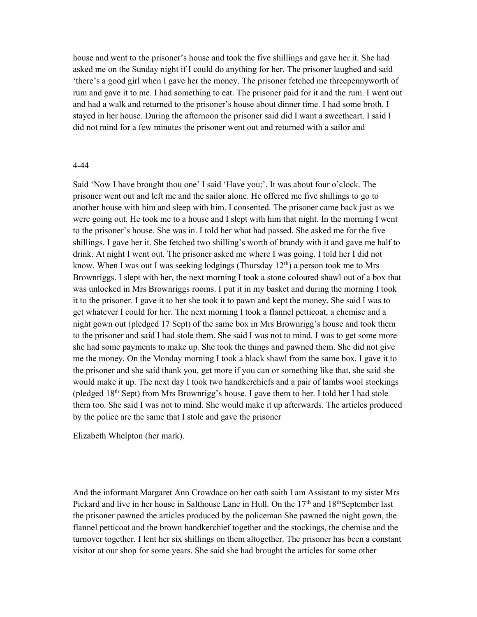house and went to the prisoner's house and took the five shillings and gave her it. She had asked me on the Sunday night if I could do anything for her. The prisoner laughed and said 'there's a good girl when I gave her the money. The prisoner fetched me threepennyworth of rum and gave it to me. I had something to eat. The prisoner paid for it and the rum. I went out and had a walk and returned to the prisoner's house about dinner time. I had some broth. I stayed in her house. During the afternoon the prisoner said did I want a sweetheart. I said I did not mind for a few minutes the prisoner went out and returned with a sailor and

### 4-44

Said 'Now I have brought thou one' I said 'Have you;'. It was about four o'clock. The prisoner went out and left me and the sailor alone. He offered me five shillings to go to another house with him and sleep with him. I consented. The prisoner came back just as we were going out. He took me to a house and I slept with him that night. In the morning I went to the prisoner's house. She was in. I told her what had passed. She asked me for the five shillings. I gave her it. She fetched two shilling's worth of brandy with it and gave me half to drink. At night I went out. The prisoner asked me where I was going. I told her I did not know. When I was out I was seeking lodgings (Thursday  $12<sup>th</sup>$ ) a person took me to Mrs Brownriggs. I slept with her, the next morning I took a stone coloured shawl out of a box that was unlocked in Mrs Brownriggs rooms. I put it in my basket and during the morning I took it to the prisoner. I gave it to her she took it to pawn and kept the money. She said I was to get whatever I could for her. The next morning I took a flannel petticoat, a chemise and a night gown out (pledged 17 Sept) of the same box in Mrs Brownrigg's house and took them to the prisoner and said I had stole them. She said I was not to mind. I was to get some more she had some payments to make up. She took the things and pawned them. She did not give me the money. On the Monday morning I took a black shawl from the same box. I gave it to the prisoner and she said thank you, get more if you can or something like that, she said she would make it up. The next day I took two handkerchiefs and a pair of lambs wool stockings (pledged 18th Sept) from Mrs Brownrigg's house. I gave them to her. I told her I had stole them too. She said I was not to mind. She would make it up afterwards. The articles produced by the police are the same that I stole and gave the prisoner

Elizabeth Whelpton (her mark).

And the informant Margaret Ann Crowdace on her oath saith I am Assistant to my sister Mrs Pickard and live in her house in Salthouse Lane in Hull. On the  $17<sup>th</sup>$  and  $18<sup>th</sup>$ September last the prisoner pawned the articles produced by the policeman She pawned the night gown, the flannel petticoat and the brown handkerchief together and the stockings, the chemise and the turnover together. I lent her six shillings on them altogether. The prisoner has been a constant visitor at our shop for some years. She said she had brought the articles for some other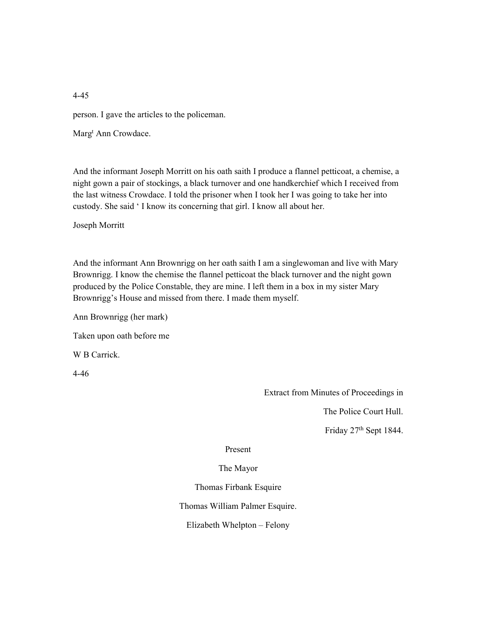person. I gave the articles to the policeman.

Marg<sup>t</sup> Ann Crowdace.

And the informant Joseph Morritt on his oath saith I produce a flannel petticoat, a chemise, a night gown a pair of stockings, a black turnover and one handkerchief which I received from the last witness Crowdace. I told the prisoner when I took her I was going to take her into custody. She said ' I know its concerning that girl. I know all about her.

Joseph Morritt

And the informant Ann Brownrigg on her oath saith I am a singlewoman and live with Mary Brownrigg. I know the chemise the flannel petticoat the black turnover and the night gown produced by the Police Constable, they are mine. I left them in a box in my sister Mary Brownrigg's House and missed from there. I made them myself.

Ann Brownrigg (her mark)

Taken upon oath before me

W B Carrick.

4-46

Extract from Minutes of Proceedings in

The Police Court Hull.

Friday 27th Sept 1844.

## Present

## The Mayor

Thomas Firbank Esquire

Thomas William Palmer Esquire.

Elizabeth Whelpton – Felony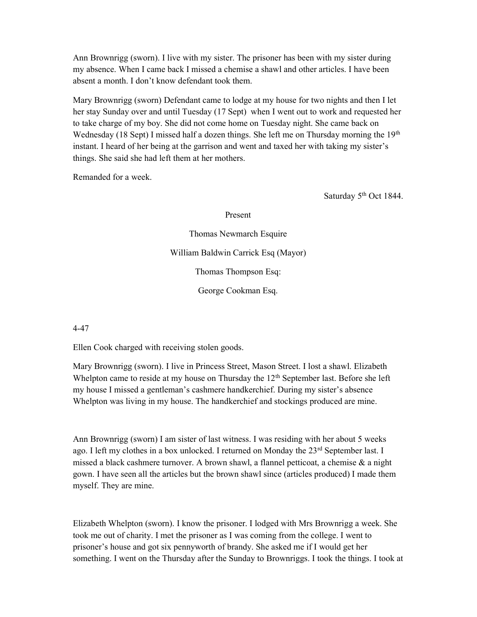Ann Brownrigg (sworn). I live with my sister. The prisoner has been with my sister during my absence. When I came back I missed a chemise a shawl and other articles. I have been absent a month. I don't know defendant took them.

Mary Brownrigg (sworn) Defendant came to lodge at my house for two nights and then I let her stay Sunday over and until Tuesday (17 Sept) when I went out to work and requested her to take charge of my boy. She did not come home on Tuesday night. She came back on Wednesday (18 Sept) I missed half a dozen things. She left me on Thursday morning the  $19<sup>th</sup>$ instant. I heard of her being at the garrison and went and taxed her with taking my sister's things. She said she had left them at her mothers.

Remanded for a week.

Saturday 5<sup>th</sup> Oct 1844.

Present

Thomas Newmarch Esquire William Baldwin Carrick Esq (Mayor) Thomas Thompson Esq: George Cookman Esq.

4-47

Ellen Cook charged with receiving stolen goods.

Mary Brownrigg (sworn). I live in Princess Street, Mason Street. I lost a shawl. Elizabeth Whelpton came to reside at my house on Thursday the  $12<sup>th</sup>$  September last. Before she left my house I missed a gentleman's cashmere handkerchief. During my sister's absence Whelpton was living in my house. The handkerchief and stockings produced are mine.

Ann Brownrigg (sworn) I am sister of last witness. I was residing with her about 5 weeks ago. I left my clothes in a box unlocked. I returned on Monday the  $23<sup>rd</sup>$  September last. I missed a black cashmere turnover. A brown shawl, a flannel petticoat, a chemise  $\&$  a night gown. I have seen all the articles but the brown shawl since (articles produced) I made them myself. They are mine.

Elizabeth Whelpton (sworn). I know the prisoner. I lodged with Mrs Brownrigg a week. She took me out of charity. I met the prisoner as I was coming from the college. I went to prisoner's house and got six pennyworth of brandy. She asked me if I would get her something. I went on the Thursday after the Sunday to Brownriggs. I took the things. I took at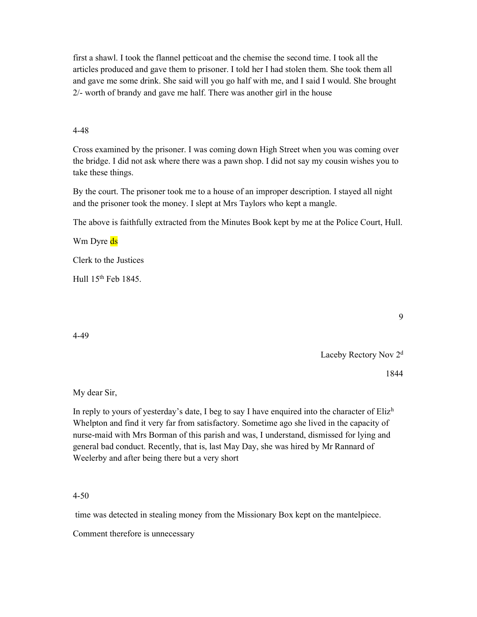first a shawl. I took the flannel petticoat and the chemise the second time. I took all the articles produced and gave them to prisoner. I told her I had stolen them. She took them all and gave me some drink. She said will you go half with me, and I said I would. She brought 2/- worth of brandy and gave me half. There was another girl in the house

### 4-48

Cross examined by the prisoner. I was coming down High Street when you was coming over the bridge. I did not ask where there was a pawn shop. I did not say my cousin wishes you to take these things.

By the court. The prisoner took me to a house of an improper description. I stayed all night and the prisoner took the money. I slept at Mrs Taylors who kept a mangle.

The above is faithfully extracted from the Minutes Book kept by me at the Police Court, Hull.

Wm Dyre ds

Clerk to the Justices

Hull 15th Feb 1845.

4-49

Laceby Rectory Nov 2<sup>d</sup>

1844

My dear Sir,

In reply to yours of yesterday's date, I beg to say I have enquired into the character of  $E$ liz<sup>h</sup> Whelpton and find it very far from satisfactory. Sometime ago she lived in the capacity of nurse-maid with Mrs Borman of this parish and was, I understand, dismissed for lying and general bad conduct. Recently, that is, last May Day, she was hired by Mr Rannard of Weelerby and after being there but a very short

### 4-50

time was detected in stealing money from the Missionary Box kept on the mantelpiece.

Comment therefore is unnecessary

9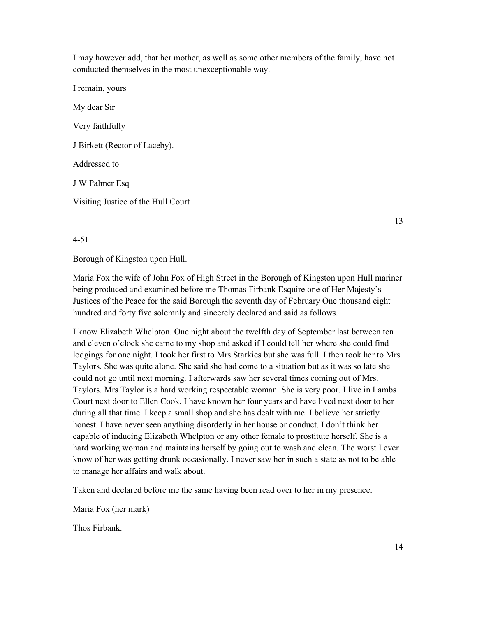I may however add, that her mother, as well as some other members of the family, have not conducted themselves in the most unexceptionable way.

I remain, yours My dear Sir Very faithfully J Birkett (Rector of Laceby). Addressed to J W Palmer Esq Visiting Justice of the Hull Court

13

4-51

Borough of Kingston upon Hull.

Maria Fox the wife of John Fox of High Street in the Borough of Kingston upon Hull mariner being produced and examined before me Thomas Firbank Esquire one of Her Majesty's Justices of the Peace for the said Borough the seventh day of February One thousand eight hundred and forty five solemnly and sincerely declared and said as follows.

I know Elizabeth Whelpton. One night about the twelfth day of September last between ten and eleven o'clock she came to my shop and asked if I could tell her where she could find lodgings for one night. I took her first to Mrs Starkies but she was full. I then took her to Mrs Taylors. She was quite alone. She said she had come to a situation but as it was so late she could not go until next morning. I afterwards saw her several times coming out of Mrs. Taylors. Mrs Taylor is a hard working respectable woman. She is very poor. I live in Lambs Court next door to Ellen Cook. I have known her four years and have lived next door to her during all that time. I keep a small shop and she has dealt with me. I believe her strictly honest. I have never seen anything disorderly in her house or conduct. I don't think her capable of inducing Elizabeth Whelpton or any other female to prostitute herself. She is a hard working woman and maintains herself by going out to wash and clean. The worst I ever know of her was getting drunk occasionally. I never saw her in such a state as not to be able to manage her affairs and walk about.

Taken and declared before me the same having been read over to her in my presence.

Maria Fox (her mark)

Thos Firbank.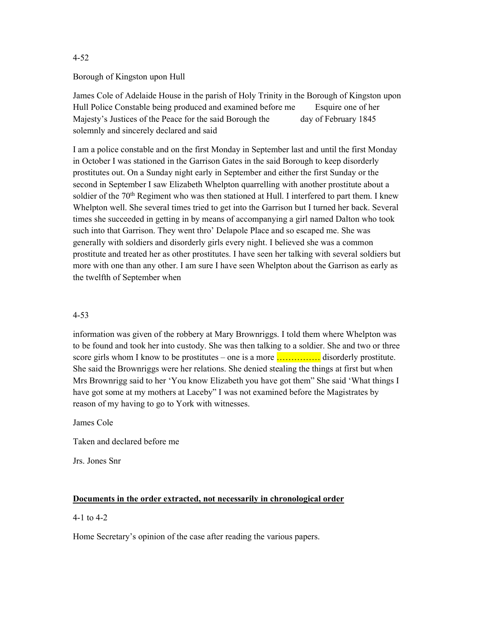## Borough of Kingston upon Hull

James Cole of Adelaide House in the parish of Holy Trinity in the Borough of Kingston upon Hull Police Constable being produced and examined before me Esquire one of her Majesty's Justices of the Peace for the said Borough the day of February 1845 solemnly and sincerely declared and said

I am a police constable and on the first Monday in September last and until the first Monday in October I was stationed in the Garrison Gates in the said Borough to keep disorderly prostitutes out. On a Sunday night early in September and either the first Sunday or the second in September I saw Elizabeth Whelpton quarrelling with another prostitute about a soldier of the  $70<sup>th</sup>$  Regiment who was then stationed at Hull. I interfered to part them. I knew Whelpton well. She several times tried to get into the Garrison but I turned her back. Several times she succeeded in getting in by means of accompanying a girl named Dalton who took such into that Garrison. They went thro' Delapole Place and so escaped me. She was generally with soldiers and disorderly girls every night. I believed she was a common prostitute and treated her as other prostitutes. I have seen her talking with several soldiers but more with one than any other. I am sure I have seen Whelpton about the Garrison as early as the twelfth of September when

## 4-53

information was given of the robbery at Mary Brownriggs. I told them where Whelpton was to be found and took her into custody. She was then talking to a soldier. She and two or three score girls whom I know to be prostitutes – one is a more  $\ldots$  isorderly prostitute. She said the Brownriggs were her relations. She denied stealing the things at first but when Mrs Brownrigg said to her 'You know Elizabeth you have got them" She said 'What things I have got some at my mothers at Laceby" I was not examined before the Magistrates by reason of my having to go to York with witnesses.

James Cole

Taken and declared before me

Jrs. Jones Snr

# Documents in the order extracted, not necessarily in chronological order

## 4-1 to 4-2

Home Secretary's opinion of the case after reading the various papers.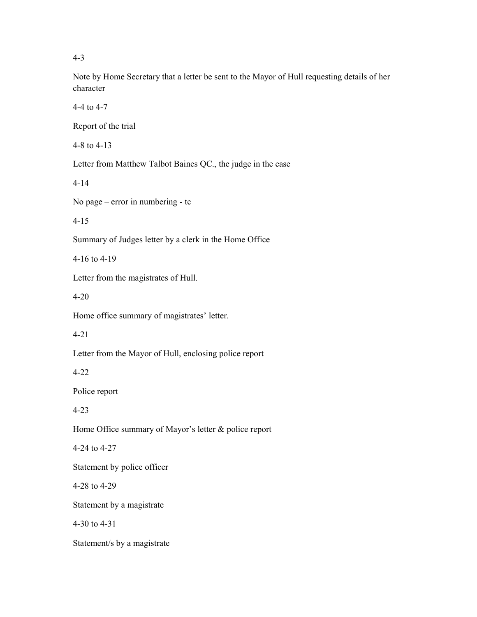Note by Home Secretary that a letter be sent to the Mayor of Hull requesting details of her character

4-4 to 4-7

Report of the trial

4-8 to 4-13

Letter from Matthew Talbot Baines QC., the judge in the case

4-14

No page – error in numbering - tc

4-15

Summary of Judges letter by a clerk in the Home Office

4-16 to 4-19

Letter from the magistrates of Hull.

4-20

Home office summary of magistrates' letter.

4-21

Letter from the Mayor of Hull, enclosing police report

4-22

Police report

4-23

Home Office summary of Mayor's letter & police report

4-24 to 4-27

Statement by police officer

4-28 to 4-29

Statement by a magistrate

4-30 to 4-31

Statement/s by a magistrate